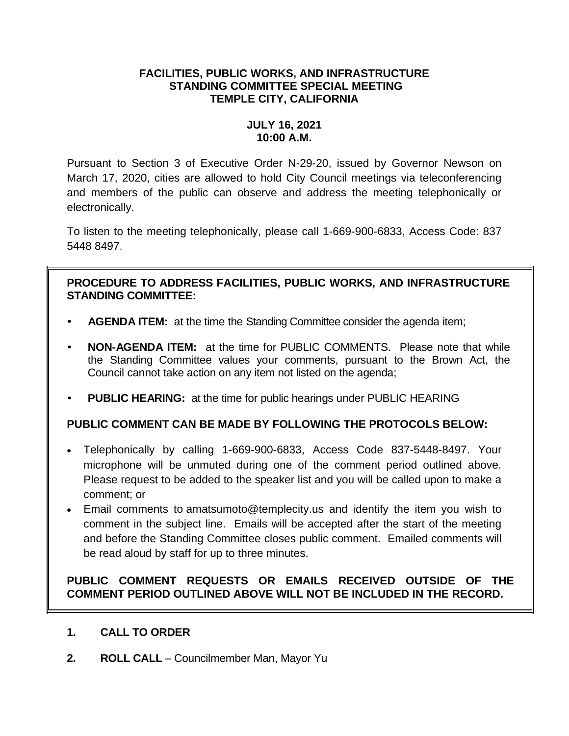## **FACILITIES, PUBLIC WORKS, AND INFRASTRUCTURE STANDING COMMITTEE SPECIAL MEETING TEMPLE CITY, CALIFORNIA**

## **JULY 16, 2021 10:00 A.M.**

Pursuant to Section 3 of Executive Order N-29-20, issued by Governor Newson on March 17, 2020, cities are allowed to hold City Council meetings via teleconferencing and members of the public can observe and address the meeting telephonically or electronically.

To listen to the meeting telephonically, please call 1-669-900-6833, Access Code: 837 5448 8497.

## **PROCEDURE TO ADDRESS FACILITIES, PUBLIC WORKS, AND INFRASTRUCTURE STANDING COMMITTEE:**

- **AGENDA ITEM:** at the time the Standing Committee consider the agenda item;
- **NON-AGENDA ITEM:** at the time for PUBLIC COMMENTS. Please note that while the Standing Committee values your comments, pursuant to the Brown Act, the Council cannot take action on any item not listed on the agenda;
- **PUBLIC HEARING:** at the time for public hearings under PUBLIC HEARING

# **PUBLIC COMMENT CAN BE MADE BY FOLLOWING THE PROTOCOLS BELOW:**

- Telephonically by calling 1-669-900-6833, Access Code 837-5448-8497. Your microphone will be unmuted during one of the comment period outlined above. Please request to be added to the speaker list and you will be called upon to make a comment; or
- Email comments to amatsumoto@templecity.us and identify the item you wish to comment in the subject line. Emails will be accepted after the start of the meeting and before the Standing Committee closes public comment. Emailed comments will be read aloud by staff for up to three minutes.

# **PUBLIC COMMENT REQUESTS OR EMAILS RECEIVED OUTSIDE OF THE COMMENT PERIOD OUTLINED ABOVE WILL NOT BE INCLUDED IN THE RECORD.**

### **1. CALL TO ORDER**

**2. ROLL CALL** – Councilmember Man, Mayor Yu